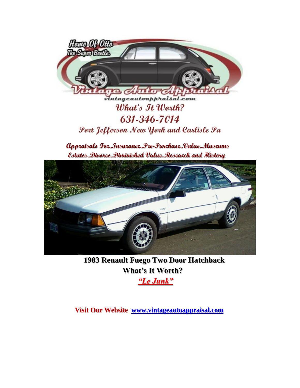

## What's It Worth? 631-346-7014 Port Jefferson New York and Carlisle Pa

**Appraisals For..Insurance..Pre-Purchase..Value..Museums Estates..Divorce..Diminished Value..Research and History**



**1983 Renault Fuego Two Door Hatchback What's It Worth?**

*"Le Junk"* 

**Visit Our Website [www.vintageautoappraisal.com](http://www.vintageautoappraisal.com/)**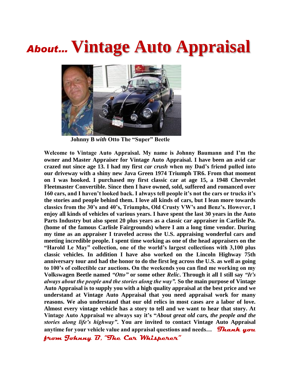## *About…* **Vintage Auto Appraisal**



 **Johnny B** *with* **Otto The "Super" Beetle**

**Welcome to Vintage Auto Appraisal. My name is Johnny Baumann and I'm the owner and Master Appraiser for Vintage Auto Appraisal. I have been an avid car crazed nut since age 13. I had my first** *car crush* **when my Dad's friend pulled into our driveway with a shiny new Java Green 1974 Triumph TR6. From that moment on I was hooked. I purchased my first classic car at age 15, a 1948 Chevrolet Fleetmaster Convertible. Since then I have owned, sold, suffered and romanced over 160 cars, and I haven't looked back. I always tell people it's not the cars or trucks it's the stories and people behind them. I love all kinds of cars, but I lean more towards classics from the 30's and 40's, Triumphs, Old Crusty VW's and Benz's. However, I enjoy all kinds of vehicles of various years. I have spent the last 30 years in the Auto Parts Industry but also spent 20 plus years as a classic car appraiser in Carlisle Pa. (home of the famous Carlisle Fairgrounds) where I am a long time vendor. During my time as an appraiser I traveled across the U.S. appraising wonderful cars and meeting incredible people. I spent time working as one of the head appraisers on the "Harold Le May" collection, one of the world's largest collections with 3,100 plus classic vehicles. In addition I have also worked on the Lincoln Highway 75th anniversary tour and had the honor to do the first leg across the U.S. as well as going to 100's of collectible car auctions. On the weekends you can find me working on my Volkswagen Beetle named** *"Otto"* **or some other** *Relic***. Through it all I still say** *"It's always about the people and the stories along the way".* **So the main purpose of Vintage Auto Appraisal is to supply you with a high quality appraisal at the best price and we understand at Vintage Auto Appraisal that you need appraisal work for many reasons. We also understand that our old relics in most cases are a labor of love. Almost every vintage vehicle has a story to tell and we want to hear that story. At Vintage Auto Appraisal we always say it's "***About great old cars, the people and the stories along life's highway"***. You are invited to contact Vintage Auto Appraisal anytime for your vehicle value and appraisal questions and needs...** *Thank you* 

**from Johnny B, "The Car Whisperer"**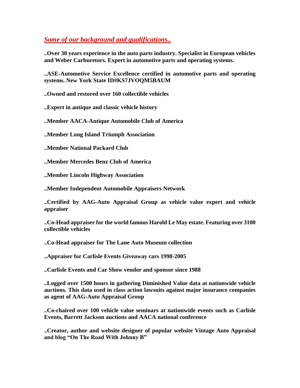*Some of our background and qualifications..*

**..Over 30 years experience in the auto parts industry. Specialist in European vehicles and Weber Carburetors. Expert in automotive parts and operating systems.**

**..ASE-Automotive Service Excellence certified in automotive parts and operating systems. New York State ID#KS7JVOQM5BAUM**

**..Owned and restored over 160 collectible vehicles**

**..Expert in antique and classic vehicle history**

**..Member AACA-Antique Automobile Club of America**

**..Member Long Island Triumph Association**

**..Member National Packard Club**

**..Member Mercedes Benz Club of America**

**..Member Lincoln Highway Association**

**..Member Independent Automobile Appraisers Network**

**..Certified by AAG-Auto Appraisal Group as vehicle value expert and vehicle appraiser**

**..Co-Head appraiser for the world famous Harold Le May estate. Featuring over 3100 collectible vehicles**

**..Co-Head appraiser for The Lane Auto Museum collection**

**..Appraiser for Carlisle Events Giveaway cars 1998-2005**

**..Carlisle Events and Car Show vendor and sponsor since 1988**

**..Logged over 1500 hours in gathering Diminished Value data at nationwide vehicle auctions. This data used in class action lawsuits against major insurance companies as agent of AAG-Auto Appraisal Group**

**..Co-chaired over 100 vehicle value seminars at nationwide events such as Carlisle Events, Barrett Jackson auctions and AACA national conference**

**..Creator, author and website designer of popular website Vintage Auto Appraisal and blog "On The Road With Johnny B"**